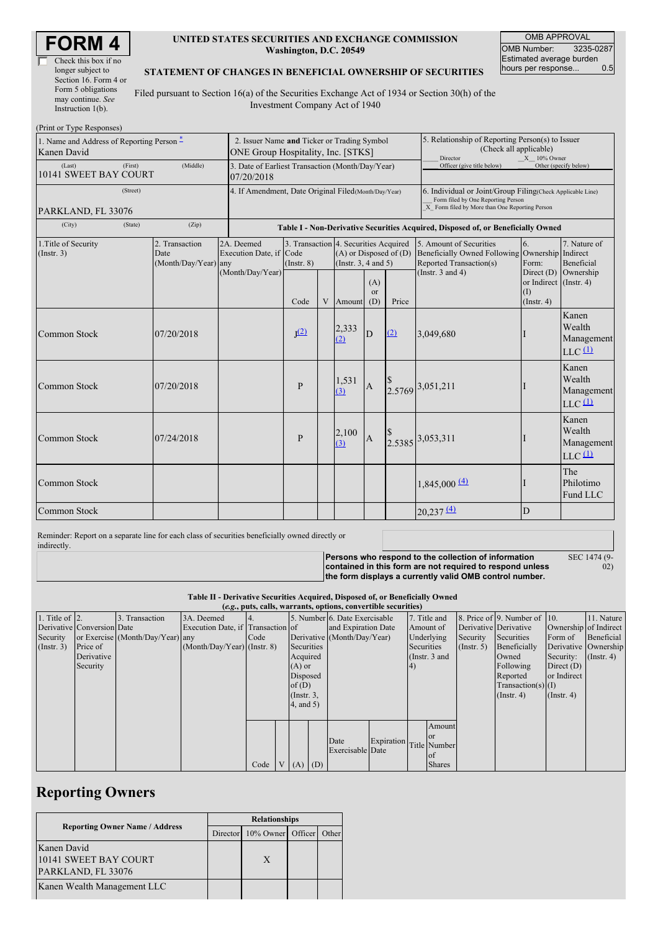| Check this box if no  |
|-----------------------|
| longer subject to     |
| Section 16. Form 4 or |
| Form 5 obligations    |
| may continue. See     |
| Instruction $1(b)$ .  |

### **UNITED STATES SECURITIES AND EXCHANGE COMMISSION Washington, D.C. 20549**

OMB APPROVAL OMB Number: 3235-0287 Estimated average burden<br>hours per response... 0.5 hours per response...

#### **STATEMENT OF CHANGES IN BENEFICIAL OWNERSHIP OF SECURITIES**

Filed pursuant to Section 16(a) of the Securities Exchange Act of 1934 or Section 30(h) of the Investment Company Act of 1940

| (Print or Type Responses)                                |                                                |                                                                |                                                                                   |                                                          |   |                                                        |                       |                                                                                                                                                    |                                                                                                                    |                                                                    |                                                                    |
|----------------------------------------------------------|------------------------------------------------|----------------------------------------------------------------|-----------------------------------------------------------------------------------|----------------------------------------------------------|---|--------------------------------------------------------|-----------------------|----------------------------------------------------------------------------------------------------------------------------------------------------|--------------------------------------------------------------------------------------------------------------------|--------------------------------------------------------------------|--------------------------------------------------------------------|
| 1. Name and Address of Reporting Person -<br>Kanen David |                                                |                                                                | 2. Issuer Name and Ticker or Trading Symbol<br>ONE Group Hospitality, Inc. [STKS] |                                                          |   |                                                        |                       |                                                                                                                                                    | 5. Relationship of Reporting Person(s) to Issuer<br>(Check all applicable)<br>Director<br>$X = 10\%$ Owner         |                                                                    |                                                                    |
| (Last)<br>(First)<br>10141 SWEET BAY COURT               |                                                | 3. Date of Earliest Transaction (Month/Day/Year)<br>07/20/2018 |                                                                                   |                                                          |   |                                                        |                       | Officer (give title below)                                                                                                                         |                                                                                                                    | Other (specify below)                                              |                                                                    |
| (Street)<br>PARKLAND, FL 33076                           |                                                |                                                                | 4. If Amendment, Date Original Filed (Month/Day/Year)                             |                                                          |   |                                                        |                       | 6. Individual or Joint/Group Filing(Check Applicable Line)<br>Form filed by One Reporting Person<br>X Form filed by More than One Reporting Person |                                                                                                                    |                                                                    |                                                                    |
| (City)<br>(Zip)<br>(State)                               |                                                |                                                                | Table I - Non-Derivative Securities Acquired, Disposed of, or Beneficially Owned  |                                                          |   |                                                        |                       |                                                                                                                                                    |                                                                                                                    |                                                                    |                                                                    |
| 1. Title of Security<br>(Insert. 3)                      | 2. Transaction<br>Date<br>(Month/Day/Year) any |                                                                | 2A. Deemed<br>Execution Date, if Code<br>(Month/Day/Year)                         | 3. Transaction 4. Securities Acquired<br>$($ Instr. $8)$ |   | $(A)$ or Disposed of $(D)$<br>(Instr. $3, 4$ and $5$ ) | (A)<br><sub>or</sub>  |                                                                                                                                                    | 5. Amount of Securities<br><b>Beneficially Owned Following</b><br>Reported Transaction(s)<br>(Instr. $3$ and $4$ ) | 6.<br>Ownership Indirect<br>Form:<br>or Indirect (Instr. 4)<br>(1) | 7. Nature of<br><b>Beneficial</b><br>Direct $(D)$ Ownership        |
| Common Stock                                             | 07/20/2018                                     |                                                                |                                                                                   | Code<br>J <sup>(2)</sup>                                 | V | Amount<br>2,333<br>(2)                                 | (D)<br>$\overline{D}$ | Price<br>(2)                                                                                                                                       | 3,049,680                                                                                                          | $($ Instr. 4 $)$                                                   | Kanen<br>Wealth<br>Management<br>$LLC$ <sup><math>(1)</math></sup> |
| Common Stock                                             | 07/20/2018                                     |                                                                |                                                                                   | $\mathbf{P}$                                             |   | 1,531<br>(3)                                           | $\mathbf{A}$          |                                                                                                                                                    | 2.5769 3,051,211                                                                                                   |                                                                    | Kanen<br>Wealth<br>Management<br>$LLC$ <sup><math>(1)</math></sup> |
| <b>Common Stock</b>                                      | 07/24/2018                                     |                                                                |                                                                                   | P                                                        |   | 2,100<br>(3)                                           | $\boldsymbol{A}$      |                                                                                                                                                    | $\begin{array}{c} \n  \  \, 8 \\ 2.5385 \n \end{array}$ 3,053,311                                                  |                                                                    | Kanen<br>Wealth<br>Management<br>$LLC$ <sup><math>(1)</math></sup> |
| Common Stock                                             |                                                |                                                                |                                                                                   |                                                          |   |                                                        |                       |                                                                                                                                                    | $1,845,000 \frac{(4)}{2}$                                                                                          |                                                                    | The<br>Philotimo<br>Fund LLC                                       |
| <b>Common Stock</b>                                      |                                                |                                                                |                                                                                   |                                                          |   |                                                        |                       |                                                                                                                                                    | 20,237(4)                                                                                                          | D                                                                  |                                                                    |

Reminder: Report on a separate line for each class of securities beneficially owned directly or indirectly.

**Persons who respond to the collection of information contained in this form are not required to respond unless the form displays a currently valid OMB control number.** SEC 1474 (9-

02)

**Table II - Derivative Securities Acquired, Disposed of, or Beneficially Owned**

| (e.g., puts, calls, warrants, options, convertible securities) |                            |                                  |                                   |                 |  |                     |  |                               |            |                       |                  |                       |                              |                      |               |
|----------------------------------------------------------------|----------------------------|----------------------------------|-----------------------------------|-----------------|--|---------------------|--|-------------------------------|------------|-----------------------|------------------|-----------------------|------------------------------|----------------------|---------------|
| 1. Title of $\vert$ 2.                                         |                            | 3. Transaction                   | 3A. Deemed                        |                 |  |                     |  | 5. Number 6. Date Exercisable |            |                       | 7. Title and     |                       | 8. Price of 9. Number of 10. |                      | 11. Nature    |
|                                                                | Derivative Conversion Date |                                  | Execution Date, if Transaction of |                 |  | and Expiration Date |  |                               | Amount of  | Derivative Derivative |                  | Ownership of Indirect |                              |                      |               |
| Security                                                       |                            | or Exercise (Month/Day/Year) any |                                   | Code            |  |                     |  | Derivative (Month/Day/Year)   |            |                       | Underlying       | Security              | Securities                   | Form of              | Beneficial    |
| (Insert. 3)                                                    | Price of                   |                                  | $(Month/Day/Year)$ (Instr. 8)     |                 |  | Securities          |  |                               |            | Securities            |                  | $($ Instr. 5 $)$      | Beneficially                 | Derivative Ownership |               |
|                                                                | Derivative                 |                                  |                                   |                 |  | Acquired            |  |                               |            |                       | (Instr. 3 and    |                       | Owned                        | Security:            | $($ Instr. 4) |
|                                                                | Security                   |                                  |                                   |                 |  | $(A)$ or            |  |                               |            | 4)                    |                  |                       | Following                    | Direct $(D)$         |               |
|                                                                |                            |                                  |                                   |                 |  | Disposed            |  |                               |            |                       |                  |                       | Reported                     | or Indirect          |               |
|                                                                |                            |                                  |                                   |                 |  | of $(D)$            |  |                               |            |                       |                  |                       | $Transaction(s)$ (I)         |                      |               |
|                                                                |                            |                                  |                                   |                 |  | $($ Instr. $3,$     |  |                               |            |                       | $($ Instr. 4 $)$ | $($ Instr. 4 $)$      |                              |                      |               |
|                                                                |                            |                                  |                                   |                 |  | $4$ , and $5$ )     |  |                               |            |                       |                  |                       |                              |                      |               |
|                                                                |                            |                                  |                                   |                 |  |                     |  |                               |            |                       |                  |                       |                              |                      |               |
|                                                                |                            |                                  |                                   |                 |  |                     |  |                               |            |                       | Amount           |                       |                              |                      |               |
|                                                                |                            |                                  |                                   |                 |  |                     |  | Date                          | Expiration |                       | <b>or</b>        |                       |                              |                      |               |
|                                                                |                            |                                  |                                   |                 |  |                     |  | Exercisable Date              |            |                       | Title Number     |                       |                              |                      |               |
|                                                                |                            |                                  |                                   |                 |  |                     |  |                               |            |                       | <b>l</b> of      |                       |                              |                      |               |
|                                                                |                            |                                  |                                   | Code $V(A)$ (D) |  |                     |  |                               |            |                       | <b>Shares</b>    |                       |                              |                      |               |

## **Reporting Owners**

|                                                            | <b>Relationships</b> |                   |  |       |  |  |
|------------------------------------------------------------|----------------------|-------------------|--|-------|--|--|
| <b>Reporting Owner Name / Address</b>                      | Director             | 10% Owner Officer |  | Other |  |  |
| Kanen David<br>10141 SWEET BAY COURT<br>PARKLAND, FL 33076 |                      | X                 |  |       |  |  |
| Kanen Wealth Management LLC                                |                      |                   |  |       |  |  |